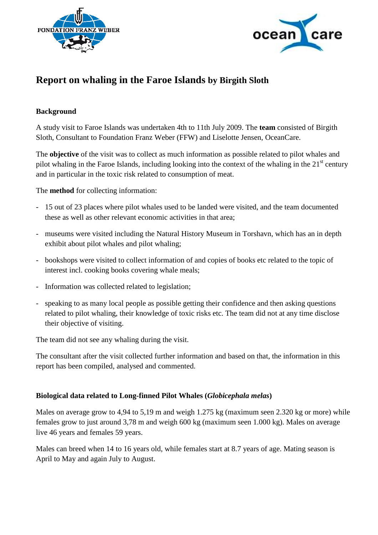



# **Report on whaling in the Faroe Islands by Birgith Sloth**

## **Background**

A study visit to Faroe Islands was undertaken 4th to 11th July 2009. The **team** consisted of Birgith Sloth, Consultant to Foundation Franz Weber (FFW) and Liselotte Jensen, OceanCare.

The **objective** of the visit was to collect as much information as possible related to pilot whales and pilot whaling in the Faroe Islands, including looking into the context of the whaling in the  $21<sup>st</sup>$  century and in particular in the toxic risk related to consumption of meat.

The **method** for collecting information:

- 15 out of 23 places where pilot whales used to be landed were visited, and the team documented these as well as other relevant economic activities in that area;
- museums were visited including the Natural History Museum in Torshavn, which has an in depth exhibit about pilot whales and pilot whaling;
- bookshops were visited to collect information of and copies of books etc related to the topic of interest incl. cooking books covering whale meals;
- Information was collected related to legislation;
- speaking to as many local people as possible getting their confidence and then asking questions related to pilot whaling, their knowledge of toxic risks etc. The team did not at any time disclose their objective of visiting.

The team did not see any whaling during the visit.

The consultant after the visit collected further information and based on that, the information in this report has been compiled, analysed and commented.

# **Biological data related to Long-finned Pilot Whales (***Globicephala melas***)**

Males on average grow to 4,94 to 5,19 m and weigh 1.275 kg (maximum seen 2.320 kg or more) while females grow to just around 3,78 m and weigh 600 kg (maximum seen 1.000 kg). Males on average live 46 years and females 59 years.

Males can breed when 14 to 16 years old, while females start at 8.7 years of age. Mating season is April to May and again July to August.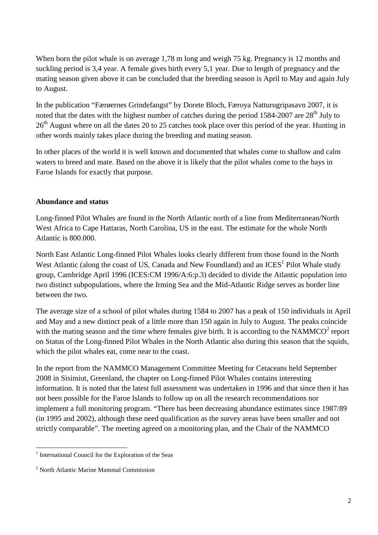When born the pilot whale is on average 1,78 m long and weigh 75 kg. Pregnancy is 12 months and suckling period is 3,4 year. A female gives birth every 5,1 year. Due to length of pregnancy and the mating season given above it can be concluded that the breeding season is April to May and again July to August.

In the publication "Færøernes Grindefangst" by Dorete Bloch, Færoya Natturugripasavn 2007, it is noted that the dates with the highest number of catches during the period  $1584-2007$  are  $28<sup>th</sup>$  July to 26<sup>th</sup> August where on all the dates 20 to 25 catches took place over this period of the year. Hunting in other words mainly takes place during the breeding and mating season.

In other places of the world it is well known and documented that whales come to shallow and calm waters to breed and mate. Based on the above it is likely that the pilot whales come to the bays in Faroe Islands for exactly that purpose.

#### **Abundance and status**

Long-finned Pilot Whales are found in the North Atlantic north of a line from Mediterranean/North West Africa to Cape Hattaras, North Carolina, US in the east. The estimate for the whole North Atlantic is 800.000.

North East Atlantic Long-finned Pilot Whales looks clearly different from those found in the North West Atlantic (along the coast of US, Canada and New Foundland) and an  $ICES<sup>1</sup>$  Pilot Whale study group, Cambridge April 1996 (ICES:CM 1996/A:6:p.3) decided to divide the Atlantic population into two distinct subpopulations, where the Irming Sea and the Mid-Atlantic Ridge serves as border line between the two.

The average size of a school of pilot whales during 1584 to 2007 has a peak of 150 individuals in April and May and a new distinct peak of a little more than 150 again in July to August. The peaks coincide with the mating season and the time where females give birth. It is according to the NAMMCO<sup>2</sup> report on Status of the Long-finned Pilot Whales in the North Atlantic also during this season that the squids, which the pilot whales eat, come near to the coast.

In the report from the NAMMCO Management Committee Meeting for Cetaceans held September 2008 in Sisimiut, Greenland, the chapter on Long-finned Pilot Whales contains interesting information. It is noted that the latest full assessment was undertaken in 1996 and that since then it has not been possible for the Faroe Islands to follow up on all the research recommendations nor implement a full monitoring program. "There has been decreasing abundance estimates since 1987/89 (in 1995 and 2002), although these need qualification as the survey areas have been smaller and not strictly comparable". The meeting agreed on a monitoring plan, and the Chair of the NAMMCO

l

<sup>&</sup>lt;sup>1</sup> International Council for the Exploration of the Seas

<sup>&</sup>lt;sup>2</sup> North Atlantic Marine Mammal Commission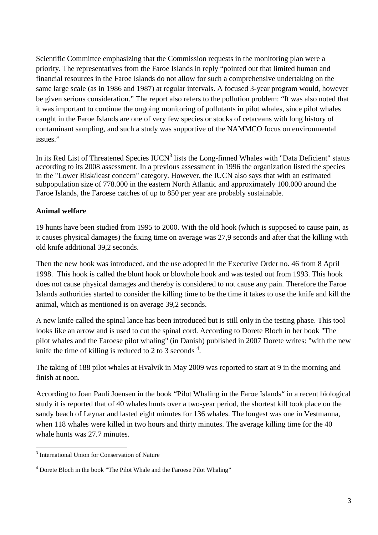Scientific Committee emphasizing that the Commission requests in the monitoring plan were a priority. The representatives from the Faroe Islands in reply "pointed out that limited human and financial resources in the Faroe Islands do not allow for such a comprehensive undertaking on the same large scale (as in 1986 and 1987) at regular intervals. A focused 3-year program would, however be given serious consideration." The report also refers to the pollution problem: "It was also noted that it was important to continue the ongoing monitoring of pollutants in pilot whales, since pilot whales caught in the Faroe Islands are one of very few species or stocks of cetaceans with long history of contaminant sampling, and such a study was supportive of the NAMMCO focus on environmental issues."

In its Red List of Threatened Species  $IUCN<sup>3</sup>$  lists the Long-finned Whales with "Data Deficient" status according to its 2008 assessment. In a previous assessment in 1996 the organization listed the species in the "Lower Risk/least concern" category. However, the IUCN also says that with an estimated subpopulation size of 778.000 in the eastern North Atlantic and approximately 100.000 around the Faroe Islands, the Faroese catches of up to 850 per year are probably sustainable.

# **Animal welfare**

19 hunts have been studied from 1995 to 2000. With the old hook (which is supposed to cause pain, as it causes physical damages) the fixing time on average was 27,9 seconds and after that the killing with old knife additional 39,2 seconds.

Then the new hook was introduced, and the use adopted in the Executive Order no. 46 from 8 April 1998. This hook is called the blunt hook or blowhole hook and was tested out from 1993. This hook does not cause physical damages and thereby is considered to not cause any pain. Therefore the Faroe Islands authorities started to consider the killing time to be the time it takes to use the knife and kill the animal, which as mentioned is on average 39,2 seconds.

A new knife called the spinal lance has been introduced but is still only in the testing phase. This tool looks like an arrow and is used to cut the spinal cord. According to Dorete Bloch in her book "The pilot whales and the Faroese pilot whaling" (in Danish) published in 2007 Dorete writes: "with the new knife the time of killing is reduced to 2 to 3 seconds  $4$ .

The taking of 188 pilot whales at Hvalvik in May 2009 was reported to start at 9 in the morning and finish at noon.

According to Joan Pauli Joensen in the book "Pilot Whaling in the Faroe Islands" in a recent biological study it is reported that of 40 whales hunts over a two-year period, the shortest kill took place on the sandy beach of Leynar and lasted eight minutes for 136 whales. The longest was one in Vestmanna, when 118 whales were killed in two hours and thirty minutes. The average killing time for the 40 whale hunts was 27.7 minutes.

l

<sup>&</sup>lt;sup>3</sup> International Union for Conservation of Nature

<sup>&</sup>lt;sup>4</sup> Dorete Bloch in the book "The Pilot Whale and the Faroese Pilot Whaling"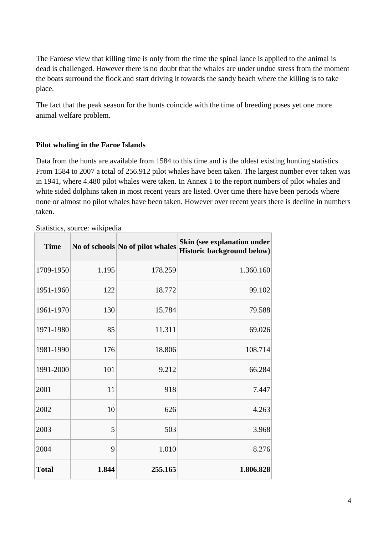The Faroese view that killing time is only from the time the spinal lance is applied to the animal is dead is challenged. However there is no doubt that the whales are under undue stress from the moment the boats surround the flock and start driving it towards the sandy beach where the killing is to take place.

The fact that the peak season for the hunts coincide with the time of breeding poses yet one more animal welfare problem.

#### **Pilot whaling in the Faroe Islands**

Data from the hunts are available from 1584 to this time and is the oldest existing hunting statistics. From 1584 to 2007 a total of 256.912 pilot whales have been taken. The largest number ever taken was in 1941, where 4.480 pilot whales were taken. In Annex 1 to the report numbers of pilot whales and white sided dolphins taken in most recent years are listed. Over time there have been periods where none or almost no pilot whales have been taken. However over recent years there is decline in numbers taken.

| <b>Time</b>  |       | No of schools No of pilot whales | Skin (see explanation under<br><b>Historic background below)</b> |
|--------------|-------|----------------------------------|------------------------------------------------------------------|
| 1709-1950    | 1.195 | 178.259                          | 1.360.160                                                        |
| 1951-1960    | 122   | 18.772                           | 99.102                                                           |
| 1961-1970    | 130   | 15.784                           | 79.588                                                           |
| 1971-1980    | 85    | 11.311                           | 69.026                                                           |
| 1981-1990    | 176   | 18.806                           | 108.714                                                          |
| 1991-2000    | 101   | 9.212                            | 66.284                                                           |
| 2001         | 11    | 918                              | 7.447                                                            |
| 2002         | 10    | 626                              | 4.263                                                            |
| 2003         | 5     | 503                              | 3.968                                                            |
| 2004         | 9     | 1.010                            | 8.276                                                            |
| <b>Total</b> | 1.844 | 255.165                          | 1.806.828                                                        |

Statistics, source: wikipedia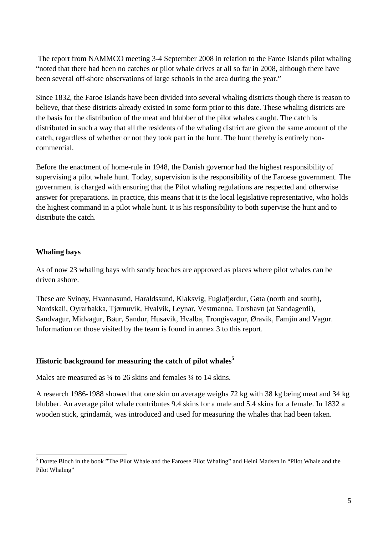The report from NAMMCO meeting 3-4 September 2008 in relation to the Faroe Islands pilot whaling "noted that there had been no catches or pilot whale drives at all so far in 2008, although there have been several off-shore observations of large schools in the area during the year."

Since 1832, the Faroe Islands have been divided into several whaling districts though there is reason to believe, that these districts already existed in some form prior to this date. These whaling districts are the basis for the distribution of the meat and blubber of the pilot whales caught. The catch is distributed in such a way that all the residents of the whaling district are given the same amount of the catch, regardless of whether or not they took part in the hunt. The hunt thereby is entirely noncommercial.

Before the enactment of home-rule in 1948, the Danish governor had the highest responsibility of supervising a pilot whale hunt. Today, supervision is the responsibility of the Faroese government. The government is charged with ensuring that the Pilot whaling regulations are respected and otherwise answer for preparations. In practice, this means that it is the local legislative representative, who holds the highest command in a pilot whale hunt. It is his responsibility to both supervise the hunt and to distribute the catch.

## **Whaling bays**

 $\overline{a}$ 

As of now 23 whaling bays with sandy beaches are approved as places where pilot whales can be driven ashore.

These are Svinøy, Hvannasund, Haraldssund, Klaksvig, Fuglafjørdur, Gøta (north and south), Nordskali, Oyrarbakka, Tjørnuvik, Hvalvik, Leynar, Vestmanna, Torshavn (at Sandagerdi), Sandvagur, Midvagur, Bøur, Sandur, Husavik, Hvalba, Trongisvagur, Øravik, Famjin and Vagur. Information on those visited by the team is found in annex 3 to this report.

# **Historic background for measuring the catch of pilot whales<sup>5</sup>**

Males are measured as  $\frac{1}{4}$  to 26 skins and females  $\frac{1}{4}$  to 14 skins.

A research 1986-1988 showed that one skin on average weighs 72 kg with 38 kg being meat and 34 kg blubber. An average pilot whale contributes 9.4 skins for a male and 5.4 skins for a female. In 1832 a wooden stick, grindamát, was introduced and used for measuring the whales that had been taken.

<sup>&</sup>lt;sup>5</sup> Dorete Bloch in the book "The Pilot Whale and the Faroese Pilot Whaling" and Heini Madsen in "Pilot Whale and the Pilot Whaling"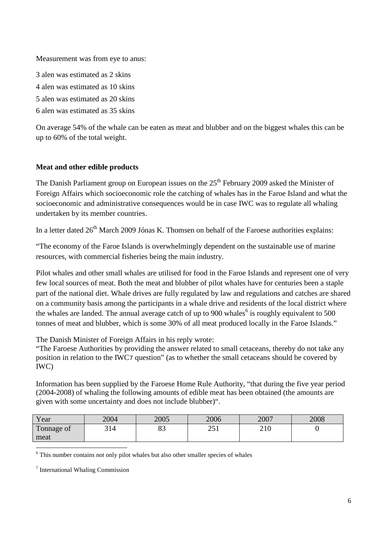Measurement was from eye to anus:

3 alen was estimated as 2 skins 4 alen was estimated as 10 skins 5 alen was estimated as 20 skins 6 alen was estimated as 35 skins

On average 54% of the whale can be eaten as meat and blubber and on the biggest whales this can be up to 60% of the total weight.

## **Meat and other edible products**

The Danish Parliament group on European issues on the  $25<sup>th</sup>$  February 2009 asked the Minister of Foreign Affairs which socioeconomic role the catching of whales has in the Faroe Island and what the socioeconomic and administrative consequences would be in case IWC was to regulate all whaling undertaken by its member countries.

In a letter dated  $26<sup>th</sup>$  March 2009 Jónas K. Thomsen on behalf of the Faroese authorities explains:

"The economy of the Faroe Islands is overwhelmingly dependent on the sustainable use of marine resources, with commercial fisheries being the main industry.

Pilot whales and other small whales are utilised for food in the Faroe Islands and represent one of very few local sources of meat. Both the meat and blubber of pilot whales have for centuries been a staple part of the national diet. Whale drives are fully regulated by law and regulations and catches are shared on a community basis among the participants in a whale drive and residents of the local district where the whales are landed. The annual average catch of up to 900 whales<sup>6</sup> is roughly equivalent to 500 tonnes of meat and blubber, which is some 30% of all meat produced locally in the Faroe Islands."

The Danish Minister of Foreign Affairs in his reply wrote:

"The Faroese Authorities by providing the answer related to small cetaceans, thereby do not take any position in relation to the IWC7 question" (as to whether the small cetaceans should be covered by IWC)

Information has been supplied by the Faroese Home Rule Authority, "that during the five year period (2004-2008) of whaling the following amounts of edible meat has been obtained (the amounts are given with some uncertainty and does not include blubber)".

| Year               | 2004 | 2005          | 2006         | 2007 | 2008 |
|--------------------|------|---------------|--------------|------|------|
| Tonnage of<br>meat | 314  | $\circ$<br>03 | つ こ 1<br>2J1 | 210  |      |
|                    |      |               |              |      |      |

<sup>6</sup> This number contains not only pilot whales but also other smaller species of whales

<sup>7</sup> International Whaling Commission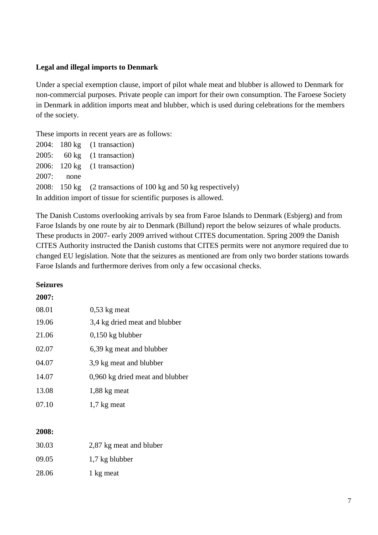#### **Legal and illegal imports to Denmark**

Under a special exemption clause, import of pilot whale meat and blubber is allowed to Denmark for non-commercial purposes. Private people can import for their own consumption. The Faroese Society in Denmark in addition imports meat and blubber, which is used during celebrations for the members of the society.

These imports in recent years are as follows:

|              | $2004$ : 180 kg $(1$ transaction)                                |
|--------------|------------------------------------------------------------------|
|              | $2005$ : 60 kg (1 transaction)                                   |
|              | $2006: 120 \text{ kg}$ (1 transaction)                           |
| $2007:$ none |                                                                  |
|              | 2008: 150 kg (2 transactions of 100 kg and 50 kg respectively)   |
|              | In addition import of tissue for scientific purposes is allowed. |

The Danish Customs overlooking arrivals by sea from Faroe Islands to Denmark (Esbjerg) and from Faroe Islands by one route by air to Denmark (Billund) report the below seizures of whale products. These products in 2007- early 2009 arrived without CITES documentation. Spring 2009 the Danish CITES Authority instructed the Danish customs that CITES permits were not anymore required due to changed EU legislation. Note that the seizures as mentioned are from only two border stations towards Faroe Islands and furthermore derives from only a few occasional checks.

#### **Seizures**

#### **2007:**

| 08.01 | $0,53$ kg meat                  |
|-------|---------------------------------|
| 19.06 | 3,4 kg dried meat and blubber   |
| 21.06 | $0,150$ kg blubber              |
| 02.07 | 6,39 kg meat and blubber        |
| 04.07 | 3,9 kg meat and blubber         |
| 14.07 | 0,960 kg dried meat and blubber |
| 13.08 | 1,88 kg meat                    |
| 07.10 | 1,7 kg meat                     |

#### **2008:**

| 30.03 | 2,87 kg meat and bluber |
|-------|-------------------------|
| 09.05 | 1,7 kg blubber          |
| 28.06 | 1 kg meat               |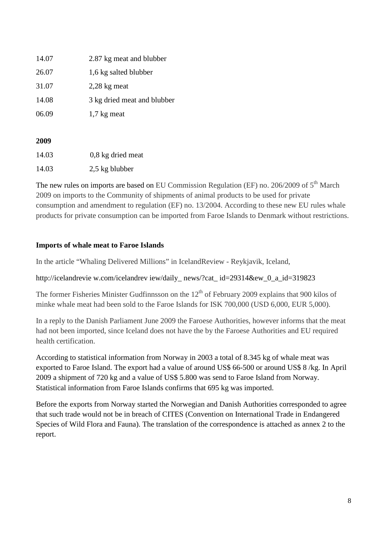| 14.07 | 2.87 kg meat and blubber    |
|-------|-----------------------------|
| 26.07 | 1,6 kg salted blubber       |
| 31.07 | $2,28$ kg meat              |
| 14.08 | 3 kg dried meat and blubber |
| 06.09 | $1,7$ kg meat               |

# **2009**

| 14.03 | $0,8$ kg dried meat |
|-------|---------------------|
| 14.03 | 2,5 kg blubber      |

The new rules on imports are based on EU Commission Regulation (EF) no. 206/2009 of  $5<sup>th</sup>$  March 2009 on imports to the Community of shipments of animal products to be used for private consumption and amendment to regulation (EF) no. 13/2004. According to these new EU rules whale products for private consumption can be imported from Faroe Islands to Denmark without restrictions.

# **Imports of whale meat to Faroe Islands**

In the article "Whaling Delivered Millions" in IcelandReview - Reykjavik, Iceland,

http://icelandrevie w.com/icelandreview/daily\_news/?cat\_ id=29314&ew\_0\_a\_id=319823

The former Fisheries Minister Gudfinnsson on the  $12<sup>th</sup>$  of February 2009 explains that 900 kilos of minke whale meat had been sold to the Faroe Islands for ISK 700,000 (USD 6,000, EUR 5,000).

In a reply to the Danish Parliament June 2009 the Faroese Authorities, however informs that the meat had not been imported, since Iceland does not have the by the Faroese Authorities and EU required health certification.

According to statistical information from Norway in 2003 a total of 8.345 kg of whale meat was exported to Faroe Island. The export had a value of around US\$ 66-500 or around US\$ 8 /kg. In April 2009 a shipment of 720 kg and a value of US\$ 5.800 was send to Faroe Island from Norway. Statistical information from Faroe Islands confirms that 695 kg was imported.

Before the exports from Norway started the Norwegian and Danish Authorities corresponded to agree that such trade would not be in breach of CITES (Convention on International Trade in Endangered Species of Wild Flora and Fauna). The translation of the correspondence is attached as annex 2 to the report.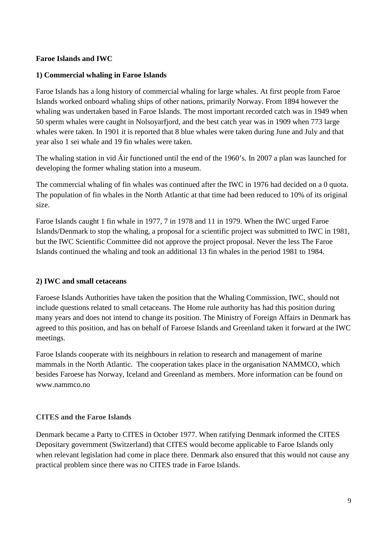## **Faroe Islands and IWC**

#### **1) Commercial whaling in Faroe Islands**

Faroe Islands has a long history of commercial whaling for large whales. At first people from Faroe Islands worked onboard whaling ships of other nations, primarily Norway. From 1894 however the whaling was undertaken based in Faroe Islands. The most important recorded catch was in 1949 when 50 sperm whales were caught in Nolsoyarfjord, and the best catch year was in 1909 when 773 large whales were taken. In 1901 it is reported that 8 blue whales were taken during June and July and that year also 1 sei whale and 19 fin whales were taken.

The whaling station in vid Áir functioned until the end of the 1960's. In 2007 a plan was launched for developing the former whaling station into a museum.

The commercial whaling of fin whales was continued after the IWC in 1976 had decided on a 0 quota. The population of fin whales in the North Atlantic at that time had been reduced to 10% of its original size.

Faroe Islands caught 1 fin whale in 1977, 7 in 1978 and 11 in 1979. When the IWC urged Faroe Islands/Denmark to stop the whaling, a proposal for a scientific project was submitted to IWC in 1981, but the IWC Scientific Committee did not approve the project proposal. Never the less The Faroe Islands continued the whaling and took an additional 13 fin whales in the period 1981 to 1984.

#### **2) IWC and small cetaceans**

Faroese Islands Authorities have taken the position that the Whaling Commission, IWC, should not include questions related to small cetaceans. The Home rule authority has had this position during many years and does not intend to change its position. The Ministry of Foreign Affairs in Denmark has agreed to this position, and has on behalf of Faroese Islands and Greenland taken it forward at the IWC meetings.

Faroe Islands cooperate with its neighbours in relation to research and management of marine mammals in the North Atlantic. The cooperation takes place in the organisation NAMMCO, which besides Faroese has Norway, Iceland and Greenland as members. More information can be found on www.nammco.no

#### **CITES and the Faroe Islands**

Denmark became a Party to CITES in October 1977. When ratifying Denmark informed the CITES Depositary government (Switzerland) that CITES would become applicable to Faroe Islands only when relevant legislation had come in place there. Denmark also ensured that this would not cause any practical problem since there was no CITES trade in Faroe Islands.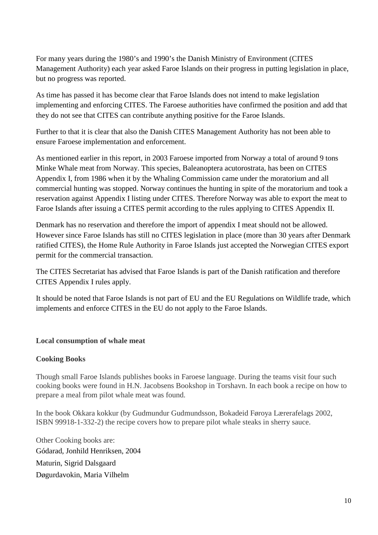For many years during the 1980's and 1990's the Danish Ministry of Environment (CITES Management Authority) each year asked Faroe Islands on their progress in putting legislation in place, but no progress was reported.

As time has passed it has become clear that Faroe Islands does not intend to make legislation implementing and enforcing CITES. The Faroese authorities have confirmed the position and add that they do not see that CITES can contribute anything positive for the Faroe Islands.

Further to that it is clear that also the Danish CITES Management Authority has not been able to ensure Faroese implementation and enforcement.

As mentioned earlier in this report, in 2003 Faroese imported from Norway a total of around 9 tons Minke Whale meat from Norway. This species, Baleanoptera acutorostrata, has been on CITES Appendix I, from 1986 when it by the Whaling Commission came under the moratorium and all commercial hunting was stopped. Norway continues the hunting in spite of the moratorium and took a reservation against Appendix I listing under CITES. Therefore Norway was able to export the meat to Faroe Islands after issuing a CITES permit according to the rules applying to CITES Appendix II.

Denmark has no reservation and therefore the import of appendix I meat should not be allowed. However since Faroe Islands has still no CITES legislation in place (more than 30 years after Denmark ratified CITES), the Home Rule Authority in Faroe Islands just accepted the Norwegian CITES export permit for the commercial transaction.

The CITES Secretariat has advised that Faroe Islands is part of the Danish ratification and therefore CITES Appendix I rules apply.

It should be noted that Faroe Islands is not part of EU and the EU Regulations on Wildlife trade, which implements and enforce CITES in the EU do not apply to the Faroe Islands.

#### **Local consumption of whale meat**

#### **Cooking Books**

Though small Faroe Islands publishes books in Faroese language. During the teams visit four such cooking books were found in H.N. Jacobsens Bookshop in Torshavn. In each book a recipe on how to prepare a meal from pilot whale meat was found.

In the book Okkara kokkur (by Gudmundur Gudmundsson, Bokadeid Føroya Lærerafelags 2002, ISBN 99918-1-332-2) the recipe covers how to prepare pilot whale steaks in sherry sauce.

Other Cooking books are: Gódarad, Jonhild Henriksen, 2004 Maturin, Sigrid Dalsgaard Døgurdavokin, Maria Vilhelm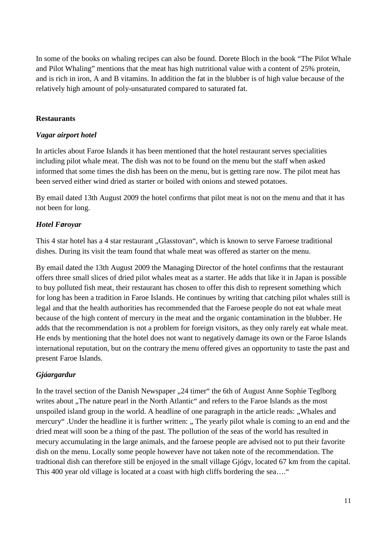In some of the books on whaling recipes can also be found. Dorete Bloch in the book "The Pilot Whale and Pilot Whaling" mentions that the meat has high nutritional value with a content of 25% protein, and is rich in iron, A and B vitamins. In addition the fat in the blubber is of high value because of the relatively high amount of poly-unsaturated compared to saturated fat.

## **Restaurants**

#### *Vagar airport hotel*

In articles about Faroe Islands it has been mentioned that the hotel restaurant serves specialities including pilot whale meat. The dish was not to be found on the menu but the staff when asked informed that some times the dish has been on the menu, but is getting rare now. The pilot meat has been served either wind dried as starter or boiled with onions and stewed potatoes.

By email dated 13th August 2009 the hotel confirms that pilot meat is not on the menu and that it has not been for long.

## *Hotel F***ø***royar*

This 4 star hotel has a 4 star restaurant "Glasstovan", which is known to serve Faroese traditional dishes. During its visit the team found that whale meat was offered as starter on the menu.

By email dated the 13th August 2009 the Managing Director of the hotel confirms that the restaurant offers three small slices of dried pilot whales meat as a starter. He adds that like it in Japan is possible to buy polluted fish meat, their restaurant has chosen to offer this dish to represent something which for long has been a tradition in Faroe Islands. He continues by writing that catching pilot whales still is legal and that the health authorities has recommended that the Faroese people do not eat whale meat because of the high content of mercury in the meat and the organic contamination in the blubber. He adds that the recommendation is not a problem for foreign visitors, as they only rarely eat whale meat. He ends by mentioning that the hotel does not want to negatively damage its own or the Faroe Islands international reputation, but on the contrary the menu offered gives an opportunity to taste the past and present Faroe Islands.

# *Gjáargardur*

In the travel section of the Danish Newspaper ...24 timer" the 6th of August Anne Sophie Teglborg writes about ,, The nature pearl in the North Atlantic" and refers to the Faroe Islands as the most unspoiled island group in the world. A headline of one paragraph in the article reads: "Whales and mercury". Under the headline it is further written: " The yearly pilot whale is coming to an end and the dried meat will soon be a thing of the past. The pollution of the seas of the world has resulted in mecury accumulating in the large animals, and the faroese people are advised not to put their favorite dish on the menu. Locally some people however have not taken note of the recommendation. The tradtional dish can therefore still be enjoyed in the small village Gjógv, located 67 km from the capital. This 400 year old village is located at a coast with high cliffs bordering the sea...."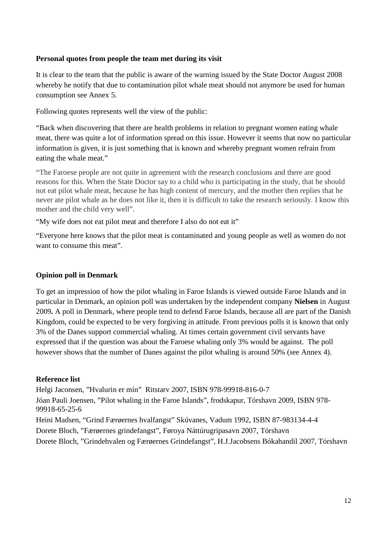#### **Personal quotes from people the team met during its visit**

It is clear to the team that the public is aware of the warning issued by the State Doctor August 2008 whereby he notify that due to contamination pilot whale meat should not anymore be used for human consumption see Annex 5.

Following quotes represents well the view of the public:

"Back when discovering that there are health problems in relation to pregnant women eating whale meat, there was quite a lot of information spread on this issue. However it seems that now no particular information is given, it is just something that is known and whereby pregnant women refrain from eating the whale meat."

"The Faroese people are not quite in agreement with the research conclusions and there are good reasons for this. When the State Doctor say to a child who is participating in the study, that he should not eat pilot whale meat, because he has high content of mercury, and the mother then replies that he never ate pilot whale as he does not like it, then it is difficult to take the research seriously. I know this mother and the child very well".

"My wife does not eat pilot meat and therefore I also do not eat it"

"Everyone here knows that the pilot meat is contaminated and young people as well as women do not want to consume this meat".

# **Opinion poll in Denmark**

To get an impression of how the pilot whaling in Faroe Islands is viewed outside Faroe Islands and in particular in Denmark, an opinion poll was undertaken by the independent company **Nielsen** in August 2009**.** A poll in Denmark, where people tend to defend Faroe Islands, because all are part of the Danish Kingdom, could be expected to be very forgiving in attitude. From previous polls it is known that only 3% of the Danes support commercial whaling. At times certain government civil servants have expressed that if the question was about the Faroese whaling only 3% would be against. The poll however shows that the number of Danes against the pilot whaling is around 50% (see Annex 4).

# **Reference list**

Helgi Jaconsen, "Hvalurin er mín" Ritstarv 2007, ISBN 978-99918-816-0-7

Jóan Pauli Joensen, "Pilot whaling in the Faroe Islands", frodskapur, Tórshavn 2009, ISBN 978- 99918-65-25-6

Heini Madsen, "Grind Færøernes hvalfangst" Skúvanes, Vadum 1992, ISBN 87-983134-4-4 Dorete Bloch, "Færøernes grindefangst", Føroya Náttúrugripasavn 2007, Tórshavn

Dorete Bloch, "Grindehvalen og Færøernes Grindefangst", H.J.Jacobsens Bókahandil 2007, Tórshavn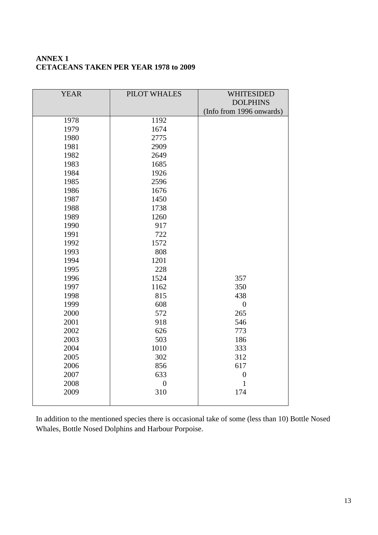# **ANNEX 1 CETACEANS TAKEN PER YEAR 1978 to 2009**

| <b>YEAR</b> | PILOT WHALES     | <b>WHITESIDED</b>        |
|-------------|------------------|--------------------------|
|             |                  | <b>DOLPHINS</b>          |
|             |                  | (Info from 1996 onwards) |
| 1978        | 1192             |                          |
| 1979        | 1674             |                          |
| 1980        | 2775             |                          |
| 1981        | 2909             |                          |
| 1982        | 2649             |                          |
| 1983        | 1685             |                          |
| 1984        | 1926             |                          |
| 1985        | 2596             |                          |
| 1986        | 1676             |                          |
| 1987        | 1450             |                          |
| 1988        | 1738             |                          |
| 1989        | 1260             |                          |
| 1990        | 917              |                          |
| 1991        | 722              |                          |
| 1992        | 1572             |                          |
| 1993        | 808              |                          |
| 1994        | 1201             |                          |
| 1995        | 228              |                          |
| 1996        | 1524             | 357                      |
| 1997        | 1162             | 350                      |
| 1998        | 815              | 438                      |
| 1999        | 608              | $\boldsymbol{0}$         |
| 2000        | 572              | 265                      |
| 2001        | 918              | 546                      |
| 2002        | 626              | 773                      |
| 2003        | 503              | 186                      |
| 2004        | 1010             | 333                      |
| 2005        | 302              | 312                      |
| 2006        | 856              | 617                      |
| 2007        | 633              | $\boldsymbol{0}$         |
| 2008        | $\boldsymbol{0}$ | $\mathbf{1}$             |
| 2009        | 310              | 174                      |
|             |                  |                          |

In addition to the mentioned species there is occasional take of some (less than 10) Bottle Nosed Whales, Bottle Nosed Dolphins and Harbour Porpoise.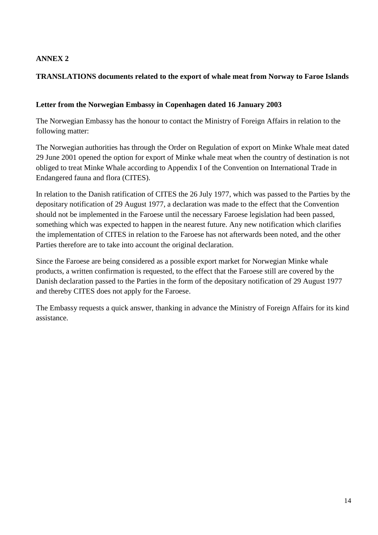# **ANNEX 2**

# **TRANSLATIONS documents related to the export of whale meat from Norway to Faroe Islands**

## **Letter from the Norwegian Embassy in Copenhagen dated 16 January 2003**

The Norwegian Embassy has the honour to contact the Ministry of Foreign Affairs in relation to the following matter:

The Norwegian authorities has through the Order on Regulation of export on Minke Whale meat dated 29 June 2001 opened the option for export of Minke whale meat when the country of destination is not obliged to treat Minke Whale according to Appendix I of the Convention on International Trade in Endangered fauna and flora (CITES).

In relation to the Danish ratification of CITES the 26 July 1977, which was passed to the Parties by the depositary notification of 29 August 1977, a declaration was made to the effect that the Convention should not be implemented in the Faroese until the necessary Faroese legislation had been passed, something which was expected to happen in the nearest future. Any new notification which clarifies the implementation of CITES in relation to the Faroese has not afterwards been noted, and the other Parties therefore are to take into account the original declaration.

Since the Faroese are being considered as a possible export market for Norwegian Minke whale products, a written confirmation is requested, to the effect that the Faroese still are covered by the Danish declaration passed to the Parties in the form of the depositary notification of 29 August 1977 and thereby CITES does not apply for the Faroese.

The Embassy requests a quick answer, thanking in advance the Ministry of Foreign Affairs for its kind assistance.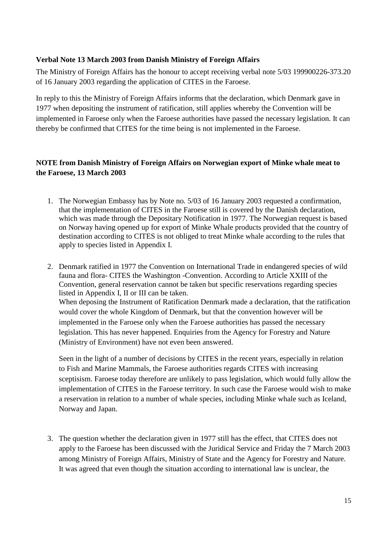## **Verbal Note 13 March 2003 from Danish Ministry of Foreign Affairs**

The Ministry of Foreign Affairs has the honour to accept receiving verbal note 5/03 199900226-373.20 of 16 January 2003 regarding the application of CITES in the Faroese.

In reply to this the Ministry of Foreign Affairs informs that the declaration, which Denmark gave in 1977 when depositing the instrument of ratification, still applies whereby the Convention will be implemented in Faroese only when the Faroese authorities have passed the necessary legislation. It can thereby be confirmed that CITES for the time being is not implemented in the Faroese.

# **NOTE from Danish Ministry of Foreign Affairs on Norwegian export of Minke whale meat to the Faroese, 13 March 2003**

- 1. The Norwegian Embassy has by Note no. 5/03 of 16 January 2003 requested a confirmation, that the implementation of CITES in the Faroese still is covered by the Danish declaration, which was made through the Depositary Notification in 1977. The Norwegian request is based on Norway having opened up for export of Minke Whale products provided that the country of destination according to CITES is not obliged to treat Minke whale according to the rules that apply to species listed in Appendix I.
- 2. Denmark ratified in 1977 the Convention on International Trade in endangered species of wild fauna and flora- CITES the Washington -Convention. According to Article XXIII of the Convention, general reservation cannot be taken but specific reservations regarding species listed in Appendix I, II or III can be taken. When deposing the Instrument of Ratification Denmark made a declaration, that the ratification would cover the whole Kingdom of Denmark, but that the convention however will be implemented in the Faroese only when the Faroese authorities has passed the necessary legislation. This has never happened. Enquiries from the Agency for Forestry and Nature (Ministry of Environment) have not even been answered.

Seen in the light of a number of decisions by CITES in the recent years, especially in relation to Fish and Marine Mammals, the Faroese authorities regards CITES with increasing sceptisism. Faroese today therefore are unlikely to pass legislation, which would fully allow the implementation of CITES in the Faroese territory. In such case the Faroese would wish to make a reservation in relation to a number of whale species, including Minke whale such as Iceland, Norway and Japan.

3. The question whether the declaration given in 1977 still has the effect, that CITES does not apply to the Faroese has been discussed with the Juridical Service and Friday the 7 March 2003 among Ministry of Foreign Affairs, Ministry of State and the Agency for Forestry and Nature. It was agreed that even though the situation according to international law is unclear, the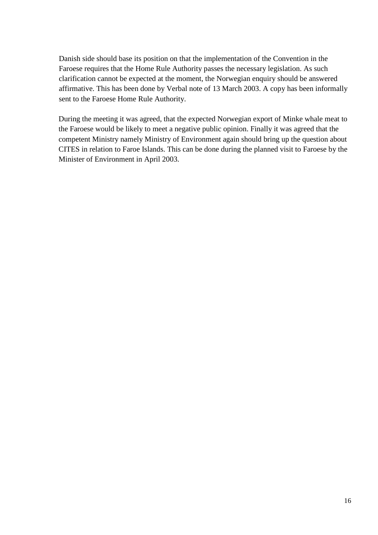Danish side should base its position on that the implementation of the Convention in the Faroese requires that the Home Rule Authority passes the necessary legislation. As such clarification cannot be expected at the moment, the Norwegian enquiry should be answered affirmative. This has been done by Verbal note of 13 March 2003. A copy has been informally sent to the Faroese Home Rule Authority.

During the meeting it was agreed, that the expected Norwegian export of Minke whale meat to the Faroese would be likely to meet a negative public opinion. Finally it was agreed that the competent Ministry namely Ministry of Environment again should bring up the question about CITES in relation to Faroe Islands. This can be done during the planned visit to Faroese by the Minister of Environment in April 2003.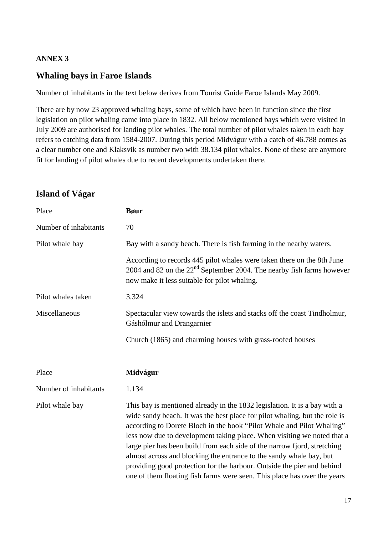## **ANNEX 3**

# **Whaling bays in Faroe Islands**

Number of inhabitants in the text below derives from Tourist Guide Faroe Islands May 2009.

There are by now 23 approved whaling bays, some of which have been in function since the first legislation on pilot whaling came into place in 1832. All below mentioned bays which were visited in July 2009 are authorised for landing pilot whales. The total number of pilot whales taken in each bay refers to catching data from 1584-2007. During this period Midvágur with a catch of 46.788 comes as a clear number one and Klaksvik as number two with 38.134 pilot whales. None of these are anymore fit for landing of pilot whales due to recent developments undertaken there.

# **Island of Vágar**

| Place                 | <b>B</b> øur                                                                                                                                                                                                                                                                                                                                                                                                                                                                                                                                                                                                         |
|-----------------------|----------------------------------------------------------------------------------------------------------------------------------------------------------------------------------------------------------------------------------------------------------------------------------------------------------------------------------------------------------------------------------------------------------------------------------------------------------------------------------------------------------------------------------------------------------------------------------------------------------------------|
| Number of inhabitants | 70                                                                                                                                                                                                                                                                                                                                                                                                                                                                                                                                                                                                                   |
| Pilot whale bay       | Bay with a sandy beach. There is fish farming in the nearby waters.                                                                                                                                                                                                                                                                                                                                                                                                                                                                                                                                                  |
|                       | According to records 445 pilot whales were taken there on the 8th June<br>2004 and 82 on the $22nd$ September 2004. The nearby fish farms however<br>now make it less suitable for pilot whaling.                                                                                                                                                                                                                                                                                                                                                                                                                    |
| Pilot whales taken    | 3.324                                                                                                                                                                                                                                                                                                                                                                                                                                                                                                                                                                                                                |
| Miscellaneous         | Spectacular view towards the islets and stacks off the coast Tindholmur,<br>Gáshólmur and Drangarnier                                                                                                                                                                                                                                                                                                                                                                                                                                                                                                                |
|                       | Church (1865) and charming houses with grass-roofed houses                                                                                                                                                                                                                                                                                                                                                                                                                                                                                                                                                           |
| Place                 | Midvágur                                                                                                                                                                                                                                                                                                                                                                                                                                                                                                                                                                                                             |
| Number of inhabitants | 1.134                                                                                                                                                                                                                                                                                                                                                                                                                                                                                                                                                                                                                |
| Pilot whale bay       | This bay is mentioned already in the 1832 legislation. It is a bay with a<br>wide sandy beach. It was the best place for pilot whaling, but the role is<br>according to Dorete Bloch in the book "Pilot Whale and Pilot Whaling"<br>less now due to development taking place. When visiting we noted that a<br>large pier has been build from each side of the narrow fjord, stretching<br>almost across and blocking the entrance to the sandy whale bay, but<br>providing good protection for the harbour. Outside the pier and behind<br>one of them floating fish farms were seen. This place has over the years |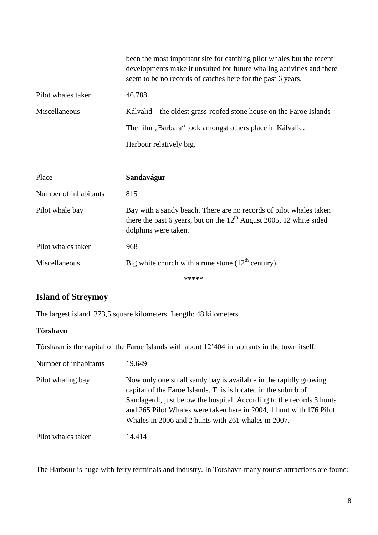|                    | been the most important site for catching pilot whales but the recent<br>developments make it unsuited for future whaling activities and there<br>seem to be no records of catches here for the past 6 years. |
|--------------------|---------------------------------------------------------------------------------------------------------------------------------------------------------------------------------------------------------------|
| Pilot whales taken | 46.788                                                                                                                                                                                                        |
| Miscellaneous      | Kálvalid – the oldest grass-roofed stone house on the Faroe Islands                                                                                                                                           |
|                    | The film "Barbara" took amongst others place in Kálvalid.                                                                                                                                                     |
|                    | Harbour relatively big.                                                                                                                                                                                       |
|                    |                                                                                                                                                                                                               |

| Place                 | Sandavágur                                                                                                                                                          |
|-----------------------|---------------------------------------------------------------------------------------------------------------------------------------------------------------------|
| Number of inhabitants | 815                                                                                                                                                                 |
| Pilot whale bay       | Bay with a sandy beach. There are no records of pilot whales taken<br>there the past 6 years, but on the $12th$ August 2005, 12 white sided<br>dolphins were taken. |
| Pilot whales taken    | 968                                                                                                                                                                 |
| Miscellaneous         | Big white church with a rune stone $(12th$ century)                                                                                                                 |
|                       | *****                                                                                                                                                               |

# **Island of Streymoy**

The largest island. 373,5 square kilometers. Length: 48 kilometers

## **Tórshavn**

Tórshavn is the capital of the Faroe Islands with about 12'404 inhabitants in the town itself.

| Number of inhabitants | 19.649                                                                                                                                                                                                                                                                                                                                    |
|-----------------------|-------------------------------------------------------------------------------------------------------------------------------------------------------------------------------------------------------------------------------------------------------------------------------------------------------------------------------------------|
| Pilot whaling bay     | Now only one small sandy bay is available in the rapidly growing<br>capital of the Faroe Islands. This is located in the suburb of<br>Sandagerdi, just below the hospital. According to the records 3 hunts<br>and 265 Pilot Whales were taken here in 2004, 1 hunt with 176 Pilot<br>Whales in 2006 and 2 hunts with 261 whales in 2007. |
| Pilot whales taken    | 14.414                                                                                                                                                                                                                                                                                                                                    |

The Harbour is huge with ferry terminals and industry. In Torshavn many tourist attractions are found: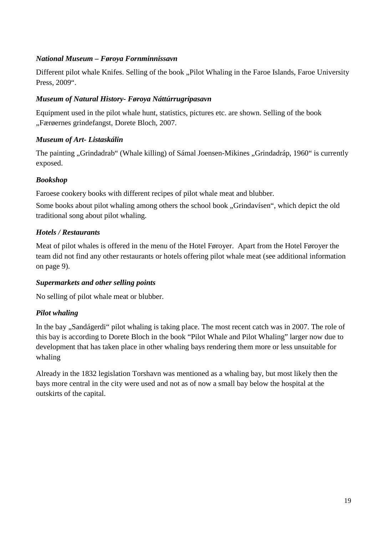# *National Museum – Føroya Fornminnissavn*

Different pilot whale Knifes. Selling of the book "Pilot Whaling in the Faroe Islands, Faroe University Press, 2009".

# *Museum of Natural History- Føroya Náttúrrugripasavn*

Equipment used in the pilot whale hunt, statistics, pictures etc. are shown. Selling of the book "Færøernes grindefangst, Dorete Bloch, 2007.

# *Museum of Art- Listaskálin*

The painting "Grindadrab" (Whale killing) of Sámal Joensen-Mikines "Grindadráp, 1960" is currently exposed.

# *Bookshop*

Faroese cookery books with different recipes of pilot whale meat and blubber.

Some books about pilot whaling among others the school book "Grindavísen", which depict the old traditional song about pilot whaling.

# *Hotels / Restaurants*

Meat of pilot whales is offered in the menu of the Hotel Føroyer. Apart from the Hotel Føroyer the team did not find any other restaurants or hotels offering pilot whale meat (see additional information on page 9).

# *Supermarkets and other selling points*

No selling of pilot whale meat or blubber.

# *Pilot whaling*

In the bay "Sandágerdi" pilot whaling is taking place. The most recent catch was in 2007. The role of this bay is according to Dorete Bloch in the book "Pilot Whale and Pilot Whaling" larger now due to development that has taken place in other whaling bays rendering them more or less unsuitable for whaling

Already in the 1832 legislation Torshavn was mentioned as a whaling bay, but most likely then the bays more central in the city were used and not as of now a small bay below the hospital at the outskirts of the capital.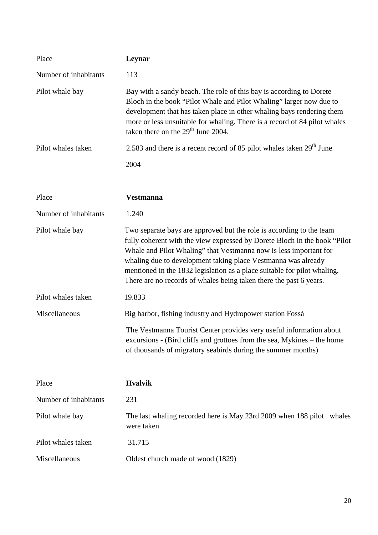| Place                 | Leynar                                                                                                                                                                                                                                                                                                                                                                                                                                     |  |  |  |  |
|-----------------------|--------------------------------------------------------------------------------------------------------------------------------------------------------------------------------------------------------------------------------------------------------------------------------------------------------------------------------------------------------------------------------------------------------------------------------------------|--|--|--|--|
| Number of inhabitants | 113                                                                                                                                                                                                                                                                                                                                                                                                                                        |  |  |  |  |
| Pilot whale bay       | Bay with a sandy beach. The role of this bay is according to Dorete<br>Bloch in the book "Pilot Whale and Pilot Whaling" larger now due to<br>development that has taken place in other whaling bays rendering them<br>more or less unsuitable for whaling. There is a record of 84 pilot whales<br>taken there on the $29th$ June 2004.                                                                                                   |  |  |  |  |
| Pilot whales taken    | 2.583 and there is a recent record of 85 pilot whales taken $29th$ June                                                                                                                                                                                                                                                                                                                                                                    |  |  |  |  |
|                       | 2004                                                                                                                                                                                                                                                                                                                                                                                                                                       |  |  |  |  |
|                       |                                                                                                                                                                                                                                                                                                                                                                                                                                            |  |  |  |  |
| Place                 | <b>Vestmanna</b>                                                                                                                                                                                                                                                                                                                                                                                                                           |  |  |  |  |
| Number of inhabitants | 1.240                                                                                                                                                                                                                                                                                                                                                                                                                                      |  |  |  |  |
| Pilot whale bay       | Two separate bays are approved but the role is according to the team<br>fully coherent with the view expressed by Dorete Bloch in the book "Pilot"<br>Whale and Pilot Whaling" that Vestmanna now is less important for<br>whaling due to development taking place Vestmanna was already<br>mentioned in the 1832 legislation as a place suitable for pilot whaling.<br>There are no records of whales being taken there the past 6 years. |  |  |  |  |
| Pilot whales taken    | 19.833                                                                                                                                                                                                                                                                                                                                                                                                                                     |  |  |  |  |
| Miscellaneous         | Big harbor, fishing industry and Hydropower station Fossá                                                                                                                                                                                                                                                                                                                                                                                  |  |  |  |  |
|                       | The Vestmanna Tourist Center provides very useful information about<br>excursions - (Bird cliffs and grottoes from the sea, Mykines – the home<br>of thousands of migratory seabirds during the summer months)                                                                                                                                                                                                                             |  |  |  |  |
| Place                 | <b>Hvalvik</b>                                                                                                                                                                                                                                                                                                                                                                                                                             |  |  |  |  |
| Number of inhabitants | 231                                                                                                                                                                                                                                                                                                                                                                                                                                        |  |  |  |  |
| Pilot whale bay       | The last whaling recorded here is May 23rd 2009 when 188 pilot whales<br>were taken                                                                                                                                                                                                                                                                                                                                                        |  |  |  |  |
| Pilot whales taken    | 31.715                                                                                                                                                                                                                                                                                                                                                                                                                                     |  |  |  |  |
| Miscellaneous         | Oldest church made of wood (1829)                                                                                                                                                                                                                                                                                                                                                                                                          |  |  |  |  |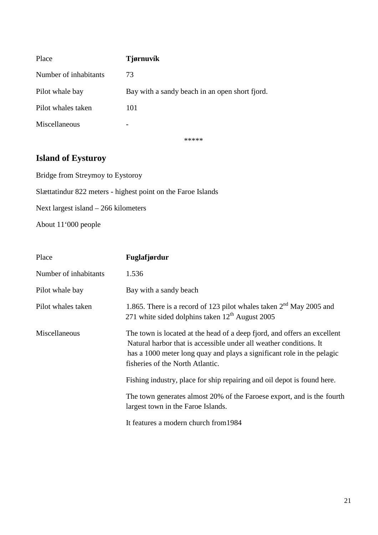| Place                 | <b>Tjørnuvík</b>                               |
|-----------------------|------------------------------------------------|
| Number of inhabitants | 73                                             |
| Pilot whale bay       | Bay with a sandy beach in an open short fjord. |
| Pilot whales taken    | 101                                            |
| Miscellaneous         | -                                              |
|                       |                                                |

#### \*\*\*\*\*

# **Island of Eysturoy**

Bridge from Streymoy to Eystoroy

Slættatindur 822 meters - highest point on the Faroe Islands

Next largest island – 266 kilometers

About 11'000 people

| Place                 | Fuglafjørdur                                                                                                                                                                                                                                                 |
|-----------------------|--------------------------------------------------------------------------------------------------------------------------------------------------------------------------------------------------------------------------------------------------------------|
| Number of inhabitants | 1.536                                                                                                                                                                                                                                                        |
| Pilot whale bay       | Bay with a sandy beach                                                                                                                                                                                                                                       |
| Pilot whales taken    | 1.865. There is a record of 123 pilot whales taken 2 <sup>nd</sup> May 2005 and<br>271 white sided dolphins taken $12^{th}$ August 2005                                                                                                                      |
| Miscellaneous         | The town is located at the head of a deep fjord, and offers an excellent<br>Natural harbor that is accessible under all weather conditions. It<br>has a 1000 meter long quay and plays a significant role in the pelagic<br>fisheries of the North Atlantic. |
|                       | Fishing industry, place for ship repairing and oil depot is found here.                                                                                                                                                                                      |
|                       | The town generates almost 20% of the Faroese export, and is the fourth<br>largest town in the Faroe Islands.                                                                                                                                                 |
|                       | It features a modern church from 1984                                                                                                                                                                                                                        |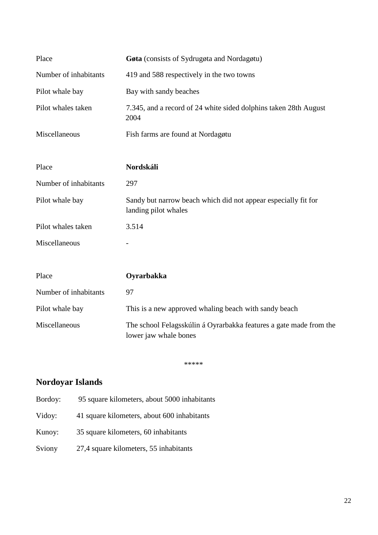| Place                 | Gøta (consists of Sydrugøta and Nordagøtu)                                                  |  |  |  |  |
|-----------------------|---------------------------------------------------------------------------------------------|--|--|--|--|
| Number of inhabitants | 419 and 588 respectively in the two towns                                                   |  |  |  |  |
| Pilot whale bay       | Bay with sandy beaches                                                                      |  |  |  |  |
| Pilot whales taken    | 7.345, and a record of 24 white sided dolphins taken 28th August<br>2004                    |  |  |  |  |
| Miscellaneous         | Fish farms are found at Nordagøtu                                                           |  |  |  |  |
|                       |                                                                                             |  |  |  |  |
| Place                 | Nordskáli                                                                                   |  |  |  |  |
| Number of inhabitants | 297                                                                                         |  |  |  |  |
| Pilot whale bay       | Sandy but narrow beach which did not appear especially fit for<br>landing pilot whales      |  |  |  |  |
| Pilot whales taken    | 3.514                                                                                       |  |  |  |  |
| Miscellaneous         |                                                                                             |  |  |  |  |
|                       |                                                                                             |  |  |  |  |
| Place                 | Oyrarbakka                                                                                  |  |  |  |  |
| Number of inhabitants | 97                                                                                          |  |  |  |  |
| Pilot whale bay       | This is a new approved whaling beach with sandy beach                                       |  |  |  |  |
| Miscellaneous         | The school Felagsskúlin á Oyrarbakka features a gate made from the<br>lower jaw whale bones |  |  |  |  |

\*\*\*\*\*

# **Nordoyar Islands**

- Bordoy: 95 square kilometers, about 5000 inhabitants
- Vidoy: 41 square kilometers, about 600 inhabitants
- Kunoy: 35 square kilometers, 60 inhabitants
- Sviony 27,4 square kilometers, 55 inhabitants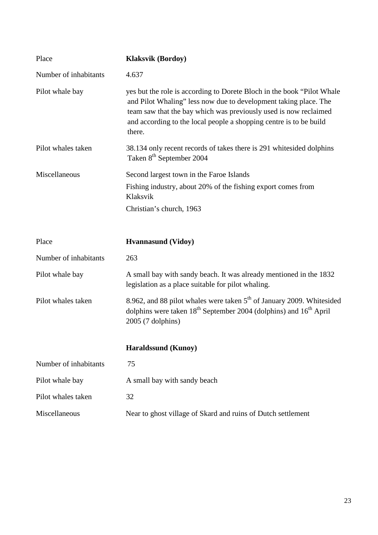| Place                 | <b>Klaksvik (Bordoy)</b>                                                                                                                                                                                                                                                                        |
|-----------------------|-------------------------------------------------------------------------------------------------------------------------------------------------------------------------------------------------------------------------------------------------------------------------------------------------|
| Number of inhabitants | 4.637                                                                                                                                                                                                                                                                                           |
| Pilot whale bay       | yes but the role is according to Dorete Bloch in the book "Pilot Whale"<br>and Pilot Whaling" less now due to development taking place. The<br>team saw that the bay which was previously used is now reclaimed<br>and according to the local people a shopping centre is to be build<br>there. |
| Pilot whales taken    | 38.134 only recent records of takes there is 291 whitesided dolphins<br>Taken 8 <sup>th</sup> September 2004                                                                                                                                                                                    |
| Miscellaneous         | Second largest town in the Faroe Islands                                                                                                                                                                                                                                                        |
|                       | Fishing industry, about 20% of the fishing export comes from<br>Klaksvik                                                                                                                                                                                                                        |
|                       | Christian's church, 1963                                                                                                                                                                                                                                                                        |
|                       |                                                                                                                                                                                                                                                                                                 |
| Place                 | <b>Hyannasund</b> (Vidoy)                                                                                                                                                                                                                                                                       |
| Number of inhabitants | 263                                                                                                                                                                                                                                                                                             |
| Pilot whale bay       | A small bay with sandy beach. It was already mentioned in the 1832                                                                                                                                                                                                                              |
|                       | legislation as a place suitable for pilot whaling.                                                                                                                                                                                                                                              |
| Pilot whales taken    | 8.962, and 88 pilot whales were taken 5 <sup>th</sup> of January 2009. Whitesided<br>dolphins were taken 18 <sup>th</sup> September 2004 (dolphins) and 16 <sup>th</sup> April<br>2005 (7 dolphins)                                                                                             |
|                       | <b>Haraldssund (Kunoy)</b>                                                                                                                                                                                                                                                                      |
| Number of inhabitants | 75                                                                                                                                                                                                                                                                                              |
| Pilot whale bay       | A small bay with sandy beach                                                                                                                                                                                                                                                                    |
| Pilot whales taken    | 32                                                                                                                                                                                                                                                                                              |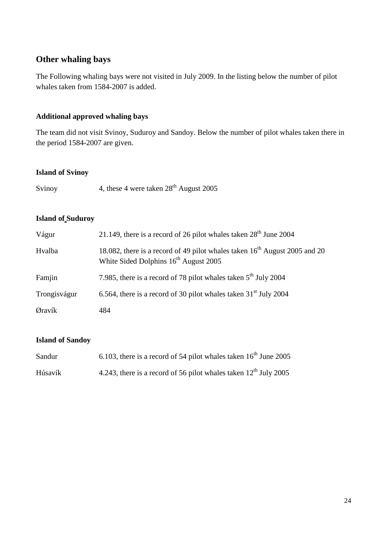# **Other whaling bays**

The Following whaling bays were not visited in July 2009. In the listing below the number of pilot whales taken from 1584-2007 is added.

### **Additional approved whaling bays**

The team did not visit Svinoy, Suduroy and Sandoy. Below the number of pilot whales taken there in the period 1584-2007 are given.

#### **Island of Svinoy**

|  | Svinoy | 4, these 4 were taken $28th$ August 2005 |
|--|--------|------------------------------------------|
|--|--------|------------------------------------------|

## **Island of Suduroy**

| Vágur        | 21.149, there is a record of 26 pilot whales taken $28th$ June 2004                                                                         |
|--------------|---------------------------------------------------------------------------------------------------------------------------------------------|
| Hvalba       | 18.082, there is a record of 49 pilot whales taken 16 <sup>th</sup> August 2005 and 20<br>White Sided Dolphins 16 <sup>th</sup> August 2005 |
| Famjin       | 7.985, there is a record of 78 pilot whales taken 5 <sup>th</sup> July 2004                                                                 |
| Trongisvágur | 6.564, there is a record of 30 pilot whales taken $31st$ July 2004                                                                          |
| Øravík       | 484                                                                                                                                         |

#### **Island of Sandoy**

| Sandur  | 6.103, there is a record of 54 pilot whales taken $16^{th}$ June 2005 |
|---------|-----------------------------------------------------------------------|
| Húsavík | 4.243, there is a record of 56 pilot whales taken $12^{th}$ July 2005 |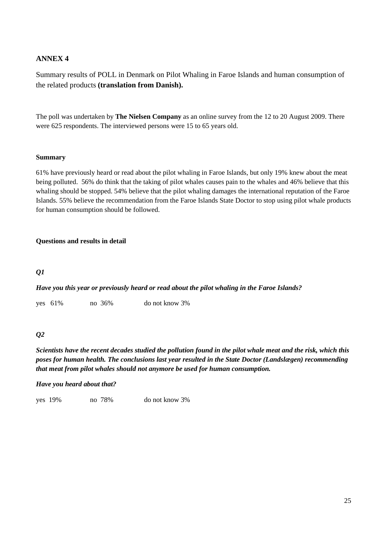#### **ANNEX 4**

Summary results of POLL in Denmark on Pilot Whaling in Faroe Islands and human consumption of the related products **(translation from Danish).** 

The poll was undertaken by **The Nielsen Company** as an online survey from the 12 to 20 August 2009. There were 625 respondents. The interviewed persons were 15 to 65 years old.

#### **Summary**

61% have previously heard or read about the pilot whaling in Faroe Islands, but only 19% knew about the meat being polluted. 56% do think that the taking of pilot whales causes pain to the whales and 46% believe that this whaling should be stopped. 54% believe that the pilot whaling damages the international reputation of the Faroe Islands. 55% believe the recommendation from the Faroe Islands State Doctor to stop using pilot whale products for human consumption should be followed.

#### **Questions and results in detail**

#### *Q1*

*Have you this year or previously heard or read about the pilot whaling in the Faroe Islands?* 

yes 61% no 36% do not know 3%

#### *Q2*

*Scientists have the recent decades studied the pollution found in the pilot whale meat and the risk, which this poses for human health. The conclusions last year resulted in the State Doctor (Landslægen) recommending that meat from pilot whales should not anymore be used for human consumption.* 

#### *Have you heard about that?*

yes 19% no 78% do not know 3%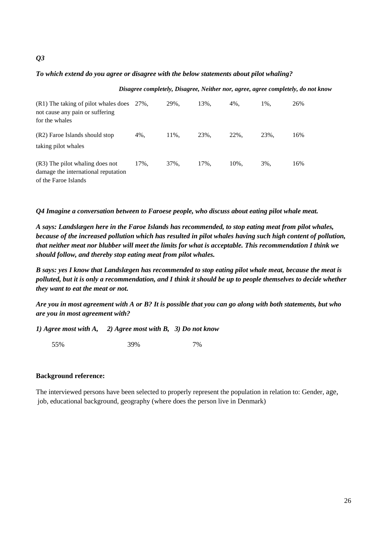#### *To which extend do you agree or disagree with the below statements about pilot whaling?*

#### *Disagree completely, Disagree, Neither nor, agree, agree completely, do not know*

| (R1) The taking of pilot whales does 27%,<br>not cause any pain or suffering<br>for the whales |      | 29%. | 13%. | 4%.  | 1%.  | 26% |
|------------------------------------------------------------------------------------------------|------|------|------|------|------|-----|
| (R2) Faroe Islands should stop<br>taking pilot whales                                          | 4%.  | 11%. | 23%. | 22%. | 23%. | 16% |
| (R3) The pilot whaling does not<br>damage the international reputation<br>of the Faroe Islands | 17%. | 37%. | 17%. | 10%. | 3%.  | 16% |

*Q4 Imagine a conversation between to Faroese people, who discuss about eating pilot whale meat.* 

*A says: Landslægen here in the Faroe Islands has recommended, to stop eating meat from pilot whales, because of the increased pollution which has resulted in pilot whales having such high content of pollution, that neither meat nor blubber will meet the limits for what is acceptable. This recommendation I think we should follow, and thereby stop eating meat from pilot whales.* 

*B says: yes I know that Landslægen has recommended to stop eating pilot whale meat, because the meat is polluted, but it is only a recommendation, and I think it should be up to people themselves to decide whether they want to eat the meat or not.* 

*Are you in most agreement with A or B? It is possible that you can go along with both statements, but who are you in most agreement with?* 

*1) Agree most with A, 2) Agree most with B, 3) Do not know* 

55% 39% 7%

#### **Background reference:**

The interviewed persons have been selected to properly represent the population in relation to: Gender, age, job, educational background, geography (where does the person live in Denmark)